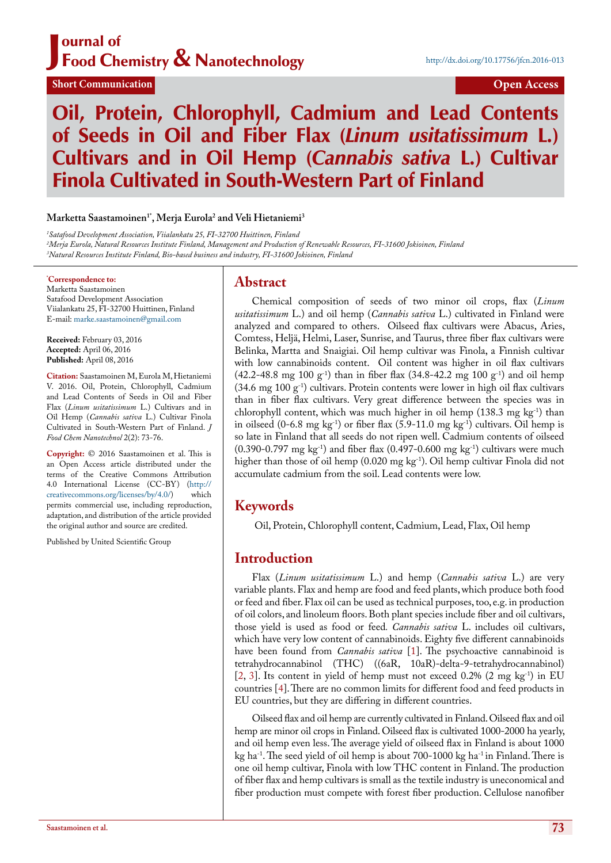#### J ournal of Food Chemistry & Nanotechnology

**Short Communication Open Access** 

# Oil, Protein, Chlorophyll, Cadmium and Lead Contents of Seeds in Oil and Fiber Flax (*Linum usitatissimum* L.) Cultivars and in Oil Hemp (*Cannabis sativa* L.) Cultivar Finola Cultivated in South-Western Part of Finland

#### **Marketta Saastamoinen1\*, Merja Eurola2 and Veli Hietaniemi3**

*1 Satafood Development Association, Viialankatu 25, FI-32700 Huittinen, Finland 2 Merja Eurola, Natural Resources Institute Finland, Management and Production of Renewable Resources, FI-31600 Jokioinen, Finland 3 Natural Resources Institute Finland, Bio-based business and industry, FI-31600 Jokioinen, Finland*

#### **\* Correspondence to:**

Marketta Saastamoinen Satafood Development Association Viialankatu 25, FI-32700 Huittinen, Finland E-mail: [marke.saastamoinen@gmail.com](mailto:marke.saastamoinen@gmail.com)

**Received:** February 03, 2016 **Accepted:** April 06, 2016 **Published:** April 08, 2016

**Citation:** Saastamoinen M, Eurola M, Hietaniemi V. 2016. Oil, Protein, Chlorophyll, Cadmium and Lead Contents of Seeds in Oil and Fiber Flax (*Linum usitatissimum* L.) Cultivars and in Oil Hemp (*Cannabis sativa* L.) Cultivar Finola Cultivated in South-Western Part of Finland. *J Food Chem Nanotechnol* 2(2): 73-76.

**Copyright:** © 2016 Saastamoinen et al. This is an Open Access article distributed under the terms of the Creative Commons Attribution 4.0 International License (CC-BY) (http://<br>creativecommons.org/licenses/by/4.0/) which creativecommons.org/licenses/by/4.0/) permits commercial use, including reproduction, adaptation, and distribution of the article provided the original author and source are credited.

Published by United Scientific Group

#### **Abstract**

Chemical composition of seeds of two minor oil crops, flax (*Linum usitatissimum* L.) and oil hemp (*Cannabis sativa* L.) cultivated in Finland were analyzed and compared to others. Oilseed flax cultivars were Abacus, Aries, Comtess, Heljä, Helmi, Laser, Sunrise, and Taurus, three fiber flax cultivars were Belinka, Martta and Snaigiai. Oil hemp cultivar was Finola, a Finnish cultivar with low cannabinoids content. Oil content was higher in oil flax cultivars  $(42.2-48.8 \text{ mg } 100 \text{ g}^{-1})$  than in fiber flax  $(34.8-42.2 \text{ mg } 100 \text{ g}^{-1})$  and oil hemp  $(34.6 \text{ mg } 100 \text{ g}^{-1})$  cultivars. Protein contents were lower in high oil flax cultivars than in fiber flax cultivars. Very great difference between the species was in chlorophyll content, which was much higher in oil hemp (138.3 mg kg<sup>-1</sup>) than in oilseed  $(0-6.8 \text{ mg kg}^{-1})$  or fiber flax  $(5.9-11.0 \text{ mg kg}^{-1})$  cultivars. Oil hemp is so late in Finland that all seeds do not ripen well. Cadmium contents of oilseed (0.390-0.797 mg kg<sup>-1</sup>) and fiber flax (0.497-0.600 mg kg<sup>-1</sup>) cultivars were much higher than those of oil hemp (0.020 mg kg<sup>-1</sup>). Oil hemp cultivar Finola did not accumulate cadmium from the soil. Lead contents were low.

## **Keywords**

Oil, Protein, Chlorophyll content, Cadmium, Lead, Flax, Oil hemp

## **Introduction**

Flax (*Linum usitatissimum* L.) and hemp (*Cannabis sativa* L.) are very variable plants. Flax and hemp are food and feed plants, which produce both food or feed and fiber. Flax oil can be used as technical purposes, too, e.g. in production of oil colors, and linoleum floors. Both plant species include fiber and oil cultivars, those yield is used as food or feed*. Cannabis sativa* L. includes oil cultivars, which have very low content of cannabinoids. Eighty five different cannabinoids have been found from *Cannabis sativa* [\[1](#page-2-0)]. The psychoactive cannabinoid is tetrahydrocannabinol (THC) ((6aR, 10aR)-delta-9-tetrahydrocannabinol) [\[2](#page-2-1), [3\]](#page-2-2). Its content in yield of hemp must not exceed  $0.2\%$  (2 mg kg<sup>-1</sup>) in EU countries [\[4](#page-2-3)]. There are no common limits for different food and feed products in EU countries, but they are differing in different countries.

Oilseed flax and oil hemp are currently cultivated in Finland. Oilseed flax and oil hemp are minor oil crops in Finland. Oilseed flax is cultivated 1000-2000 ha yearly, and oil hemp even less. The average yield of oilseed flax in Finland is about 1000 kg ha<sup>-1</sup>. The seed yield of oil hemp is about 700-1000 kg ha<sup>-1</sup> in Finland. There is one oil hemp cultivar, Finola with low THC content in Finland. The production of fiber flax and hemp cultivars is small as the textile industry is uneconomical and fiber production must compete with forest fiber production. Cellulose nanofiber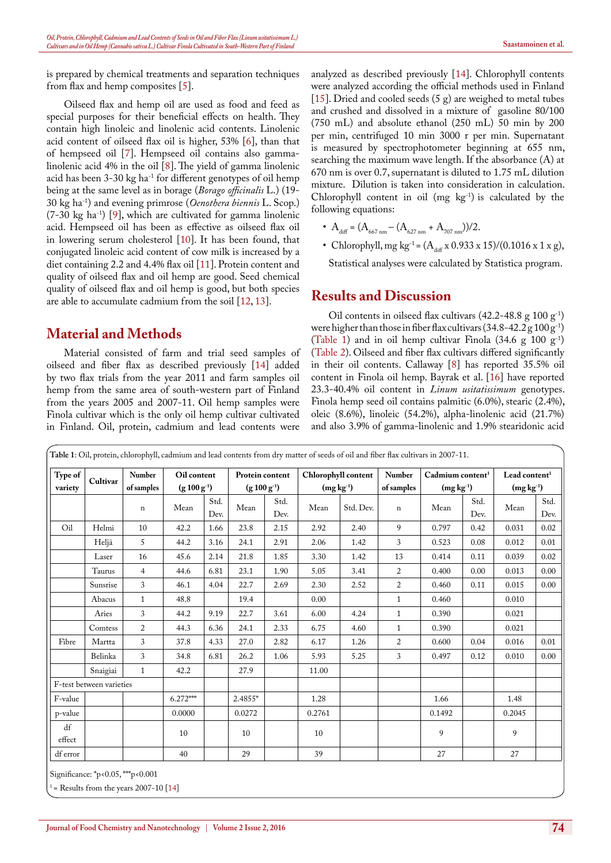is prepared by chemical treatments and separation techniques from flax and hemp composites [[5\]](#page-2-4).

Oilseed flax and hemp oil are used as food and feed as special purposes for their beneficial effects on health. They contain high linoleic and linolenic acid contents. Linolenic acid content of oilseed flax oil is higher, 53% [[6\]](#page-2-5), than that of hempseed oil [[7\]](#page-2-6). Hempseed oil contains also gammalinolenic acid 4% in the oil [[8](#page-2-7)]. The yield of gamma linolenic acid has been  $3-30$  kg ha<sup>-1</sup> for different genotypes of oil hemp being at the same level as in borage (*Borago officinalis* L.) (19- 30 kg ha-1) and evening primrose (*Oenothera biennis* L. Scop.)  $(7-30 \text{ kg} \text{ ha}^{-1})$  [[9](#page-2-8)], which are cultivated for gamma linolenic acid. Hempseed oil has been as effective as oilseed flax oil in lowering serum cholesterol [[10\]](#page-2-9). It has been found, that conjugated linoleic acid content of cow milk is increased by a diet containing 2.2 and 4.4% flax oil [[11\]](#page-3-0). Protein content and quality of oilseed flax and oil hemp are good. Seed chemical quality of oilseed flax and oil hemp is good, but both species are able to accumulate cadmium from the soil [\[12](#page-3-1), [13\]](#page-3-2).

# **Material and Methods**

Material consisted of farm and trial seed samples of oilseed and fiber flax as described previously [[14\]](#page-3-3) added by two flax trials from the year 2011 and farm samples oil hemp from the same area of south-western part of Finland from the years 2005 and 2007-11. Oil hemp samples were Finola cultivar which is the only oil hemp cultivar cultivated in Finland. Oil, protein, cadmium and lead contents were

analyzed as described previously [\[14\]](#page-3-3). Chlorophyll contents were analyzed according the official methods used in Finland [[15\]](#page-3-4). Dried and cooled seeds (5 g) are weighed to metal tubes and crushed and dissolved in a mixture of gasoline 80/100 (750 mL) and absolute ethanol (250 mL) 50 min by 200 per min, centrifuged 10 min 3000 r per min. Supernatant is measured by spectrophotometer beginning at 655 nm, searching the maximum wave length. If the absorbance (A) at 670 nm is over 0.7, supernatant is diluted to 1.75 mL dilution mixture. Dilution is taken into consideration in calculation. Chlorophyll content in oil  $(mg \ kg^{-1})$  is calculated by the following equations:

• 
$$
A_{\text{diff}} = (A_{667 \text{ nm}} - (A_{627 \text{ nm}} + A_{707 \text{ nm}}))/2.
$$

• Chlorophyll, mg kg<sup>-1</sup> =  $(A_{\text{diff}} \times 0.933 \times 15)/(0.1016 \times 1 \times g)$ ,

Statistical analyses were calculated by Statistica program.

#### **Results and Discussion**

Oil contents in oilseed flax cultivars  $(42.2-48.8 \text{ g } 100 \text{ g}^{-1})$ were higher than those in fiber flax cultivars  $(34.8-42.2 \text{ g } 100 \text{ g}^{-1})$ [\(Table 1](#page-1-0)) and in oil hemp cultivar Finola  $(34.6 \text{ g } 100 \text{ g}^{-1})$ ([Table 2](#page-2-10)). Oilseed and fiber flax cultivars differed significantly in their oil contents. Callaway [\[8](#page-2-7)] has reported 35.5% oil content in Finola oil hemp. Bayrak et al. [\[16](#page-3-5)] have reported 23.3-40.4% oil content in *Linum usitatissimum* genotypes. Finola hemp seed oil contains palmitic (6.0%), stearic (2.4%), oleic (8.6%), linoleic (54.2%), alpha-linolenic acid (21.7%) and also 3.9% of gamma-linolenic and 1.9% stearidonic acid

<span id="page-1-0"></span>

| Type of<br>variety | Cultivar                 | Number<br>of samples<br>$\mathbf n$ | Oil content<br>$(g 100 g^{-1})$ |       | Protein content<br>$(g 100 g^{-1})$ |      | Chlorophyll content<br>$(mg kg-1)$ |      | Number<br>of samples | Cadmium content <sup>1</sup><br>$(mg kg-1)$ |      | Lead content <sup>1</sup><br>$(mg kg-1)$ |       |
|--------------------|--------------------------|-------------------------------------|---------------------------------|-------|-------------------------------------|------|------------------------------------|------|----------------------|---------------------------------------------|------|------------------------------------------|-------|
|                    |                          |                                     |                                 |       |                                     |      |                                    |      |                      |                                             |      |                                          |       |
|                    |                          |                                     | Oil                             | Helmi | 10                                  | 42.2 | 1.66                               | 23.8 | 2.15                 | 2.92                                        | 2.40 | 9                                        | 0.797 |
| Heljä              | 5                        | 44.2                                |                                 | 3.16  | 24.1                                | 2.91 | 2.06                               | 1.42 | 3                    | 0.523                                       | 0.08 | 0.012                                    | 0.01  |
| Laser              | 16                       | 45.6                                |                                 | 2.14  | 21.8                                | 1.85 | 3.30                               | 1.42 | 13                   | 0.414                                       | 0.11 | 0.039                                    | 0.02  |
| Taurus             | $\overline{4}$           | 44.6                                |                                 | 6.81  | 23.1                                | 1.90 | 5.05                               | 3.41 | $\overline{2}$       | 0.400                                       | 0.00 | 0.013                                    | 0.00  |
| Sunsrise           | 3                        | 46.1                                |                                 | 4.04  | 22.7                                | 2.69 | 2.30                               | 2.52 | 2                    | 0.460                                       | 0.11 | 0.015                                    | 0.00  |
| Abacus             | $\mathbf{1}$             | 48.8                                |                                 |       | 19.4                                |      | 0.00                               |      | $\mathbf{1}$         | 0.460                                       |      | 0.010                                    |       |
| Aries              | $\mathfrak{Z}$           | 44.2                                |                                 | 9.19  | 22.7                                | 3.61 | 6.00                               | 4.24 | $\mathbf{1}$         | 0.390                                       |      | 0.021                                    |       |
| Comtess            | $\overline{2}$           | 44.3                                |                                 | 6.36  | 24.1                                | 2.33 | 6.75                               | 4.60 | $\mathbf{1}$         | 0.390                                       |      | 0.021                                    |       |
| Fibre              | Martta                   | 3                                   | 37.8                            | 4.33  | 27.0                                | 2.82 | 6.17                               | 1.26 | $\overline{2}$       | 0.600                                       | 0.04 | 0.016                                    | 0.01  |
|                    | Belinka                  | $\mathfrak{Z}$                      | 34.8                            | 6.81  | 26.2                                | 1.06 | 5.93                               | 5.25 | $\mathfrak{Z}$       | 0.497                                       | 0.12 | 0.010                                    | 0.00  |
|                    | Snaigiai                 | $\mathbf{1}$                        | 42.2                            |       | 27.9                                |      | 11.00                              |      |                      |                                             |      |                                          |       |
|                    | F-test between varieties |                                     |                                 |       |                                     |      |                                    |      |                      |                                             |      |                                          |       |
| F-value            |                          |                                     | $6.272***$                      |       | 2.4855*                             |      | 1.28                               |      |                      | 1.66                                        |      | 1.48                                     |       |
| p-value            |                          |                                     | 0.0000                          |       | 0.0272                              |      | 0.2761                             |      |                      | 0.1492                                      |      | 0.2045                                   |       |
| df<br>effect       |                          |                                     | 10                              |       | 10                                  |      | 10                                 |      |                      | 9                                           |      | 9                                        |       |
| df error           |                          |                                     | 40                              |       | 29                                  |      | 39                                 |      |                      | 27                                          |      | 27                                       |       |

Significance: \*p<0.05, \*\*\*p<0.001

 $=$  Results from the years 2007-10 [[14\]](#page-3-3)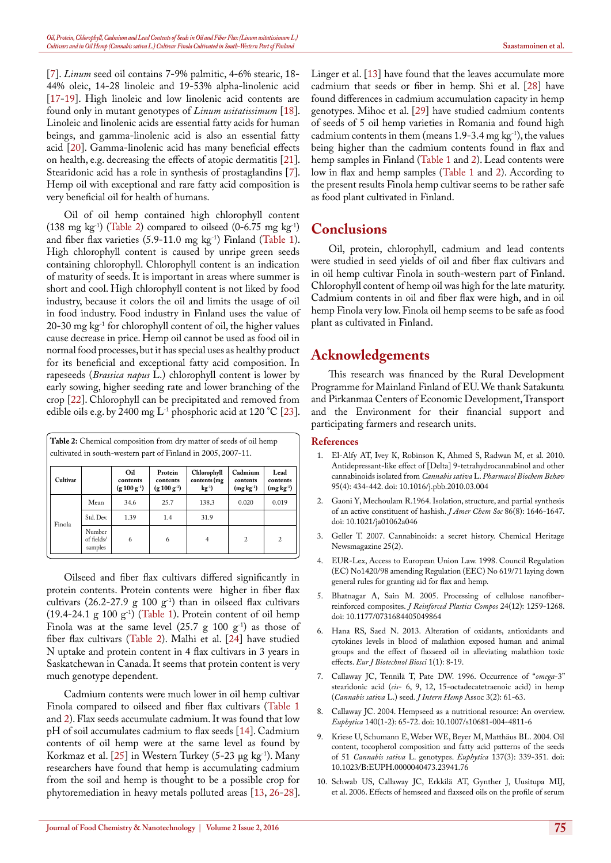[[7\]](#page-2-6). *Linum* seed oil contains 7-9% palmitic, 4-6% stearic, 18- 44% oleic, 14-28 linoleic and 19-53% alpha-linolenic acid [[17-](#page-3-6)[19](#page-3-7)]. High linoleic and low linolenic acid contents are found only in mutant genotypes of *Linum usitatissimum* [[18\]](#page-3-8). Linoleic and linolenic acids are essential fatty acids for human beings, and gamma-linolenic acid is also an essential fatty acid [[20](#page-3-9)]. Gamma-linolenic acid has many beneficial effects on health, e.g. decreasing the effects of atopic dermatitis [[21\]](#page-3-10). Stearidonic acid has a role in synthesis of prostaglandins [[7\]](#page-2-6). Hemp oil with exceptional and rare fatty acid composition is very beneficial oil for health of humans.

Oil of oil hemp contained high chlorophyll content (138 mg kg<sup>-1</sup>) [\(Table 2\)](#page-2-10) compared to oilseed (0-6.75 mg kg<sup>-1</sup>) and fiber flax varieties (5.9-11.0 mg kg-1) Finland ([Table 1\)](#page-1-0). High chlorophyll content is caused by unripe green seeds containing chlorophyll. Chlorophyll content is an indication of maturity of seeds. It is important in areas where summer is short and cool. High chlorophyll content is not liked by food industry, because it colors the oil and limits the usage of oil in food industry. Food industry in Finland uses the value of 20-30 mg kg-1 for chlorophyll content of oil, the higher values cause decrease in price. Hemp oil cannot be used as food oil in normal food processes, but it has special uses as healthy product for its beneficial and exceptional fatty acid composition. In rapeseeds (*Brassica napus* L.) chlorophyll content is lower by early sowing, higher seeding rate and lower branching of the crop [\[22](#page-3-11)]. Chlorophyll can be precipitated and removed from edible oils e.g. by 2400 mg  $L^{-1}$  phosphoric acid at 120 °C [[23\]](#page-3-12).

<span id="page-2-10"></span>

| <b>Table 2:</b> Chemical composition from dry matter of seeds of oil hemp<br>cultivated in south-western part of Finland in 2005, 2007-11. |                                 |                                     |                                         |                                                   |                                    |                                 |  |  |  |
|--------------------------------------------------------------------------------------------------------------------------------------------|---------------------------------|-------------------------------------|-----------------------------------------|---------------------------------------------------|------------------------------------|---------------------------------|--|--|--|
| Cultivar                                                                                                                                   |                                 | Oil<br>contents<br>$(g 100 g^{-1})$ | Protein<br>contents<br>$(g 100 g^{-1})$ | Chlorophyll<br>contents (mg<br>$k\mathbf{g}^{-1}$ | Cadmium<br>contents<br>$(mg kg-1)$ | Lead<br>contents<br>$(mg kg-1)$ |  |  |  |
|                                                                                                                                            | Mean                            | 34.6                                | 25.7                                    | 138.3                                             | 0.020                              | 0.019                           |  |  |  |
| Finola                                                                                                                                     | Std. Dev.                       | 1.39                                | 1.4                                     | 31.9                                              |                                    |                                 |  |  |  |
|                                                                                                                                            | Number<br>of fields/<br>samples | 6                                   | 6                                       | 4                                                 | $\mathfrak{D}$                     | $\overline{\mathbf{c}}$         |  |  |  |

Oilseed and fiber flax cultivars differed significantly in protein contents. Protein contents were higher in fiber flax cultivars (26.2-27.9 g 100  $g^{-1}$ ) than in oilseed flax cultivars (19.4-24.1 g 100  $g^{-1}$ ) ([Table 1\)](#page-1-0). Protein content of oil hemp Finola was at the same level  $(25.7 \text{ g } 100 \text{ g}^{-1})$  as those of fiber flax cultivars ([Table 2\)](#page-2-10). Malhi et al. [\[24](#page-3-13)] have studied N uptake and protein content in 4 flax cultivars in 3 years in Saskatchewan in Canada. It seems that protein content is very much genotype dependent.

Cadmium contents were much lower in oil hemp cultivar Finola compared to oilseed and fiber flax cultivars ([Table 1](#page-1-0) and [2](#page-2-10)). Flax seeds accumulate cadmium. It was found that low pH of soil accumulates cadmium to flax seeds [[14](#page-3-3)]. Cadmium contents of oil hemp were at the same level as found by Korkmaz et al.  $[25]$  $[25]$  in Western Turkey (5-23 μg kg<sup>-1</sup>). Many researchers have found that hemp is accumulating cadmium from the soil and hemp is thought to be a possible crop for phytoremediation in heavy metals polluted areas [[13,](#page-3-2) [26-](#page-3-15)[28\]](#page-3-16).

Linger et al. [\[13](#page-3-2)] have found that the leaves accumulate more cadmium that seeds or fiber in hemp. Shi et al. [[28\]](#page-3-16) have found differences in cadmium accumulation capacity in hemp genotypes. Mihoc et al. [[29](#page-3-17)] have studied cadmium contents of seeds of 5 oil hemp varieties in Romania and found high cadmium contents in them (means  $1.9-3.4$  mg kg<sup>-1</sup>), the values being higher than the cadmium contents found in flax and hemp samples in Finland ([Table 1](#page-1-0) and [2](#page-2-10)). Lead contents were low in flax and hemp samples ([Table 1](#page-1-0) and [2](#page-2-10)). According to the present results Finola hemp cultivar seems to be rather safe as food plant cultivated in Finland.

# **Conclusions**

Oil, protein, chlorophyll, cadmium and lead contents were studied in seed yields of oil and fiber flax cultivars and in oil hemp cultivar Finola in south-western part of Finland. Chlorophyll content of hemp oil was high for the late maturity. Cadmium contents in oil and fiber flax were high, and in oil hemp Finola very low. Finola oil hemp seems to be safe as food plant as cultivated in Finland.

## **Acknowledgements**

This research was financed by the Rural Development Programme for Mainland Finland of EU. We thank Satakunta and Pirkanmaa Centers of Economic Development, Transport and the Environment for their financial support and participating farmers and research units.

#### **References**

- <span id="page-2-0"></span>1. [El-Alfy AT, Ivey K, Robinson K, Ahmed S, Radwan M, et al. 2010.](http://www.ncbi.nlm.nih.gov/pubmed/20332000)  [Antidepressant-like effect of \[Delta\] 9-tetrahydrocannabinol and other](http://www.ncbi.nlm.nih.gov/pubmed/20332000)  [cannabinoids isolated from](http://www.ncbi.nlm.nih.gov/pubmed/20332000) *[Cannabis sativa](http://www.ncbi.nlm.nih.gov/pubmed/20332000)* [L.](http://www.ncbi.nlm.nih.gov/pubmed/20332000) *[Pharmacol Biochem Behav](http://www.ncbi.nlm.nih.gov/pubmed/20332000)*  [95\(4\): 434-442.](http://www.ncbi.nlm.nih.gov/pubmed/20332000) doi: 10.1016/j.pbb.2010.03.004
- <span id="page-2-1"></span>2. [Gaoni Y, Mechoulam R.1964. Isolation, structure, and partial synthesis](http://pubs.acs.org/doi/abs/10.1021/ja01062a046)  [of an active constituent of hashish.](http://pubs.acs.org/doi/abs/10.1021/ja01062a046) *[J Amer Chem Soc](http://pubs.acs.org/doi/abs/10.1021/ja01062a046)* [86\(8\): 1646-1647.](http://pubs.acs.org/doi/abs/10.1021/ja01062a046) doi: 10.1021/ja01062a046
- <span id="page-2-2"></span>3. Geller T. 2007. Cannabinoids: a secret history. Chemical Heritage Newsmagazine 25(2).
- <span id="page-2-3"></span>4. [EUR-Lex, Access to European Union Law. 1998. Council Regulation](http://eur-lex.europa.eu/legal-content/EN/TXT/?uri=CELEX%3A31998R1420)  [\(EC\) No1420/98 amending Regulation \(EEC\) No 619/71 laying down](http://eur-lex.europa.eu/legal-content/EN/TXT/?uri=CELEX%3A31998R1420)  [general rules for granting aid for flax and hemp.](http://eur-lex.europa.eu/legal-content/EN/TXT/?uri=CELEX%3A31998R1420)
- <span id="page-2-4"></span>5. [Bhatnagar A, Sain M. 2005. Processing of cellulose nanofiber](http://jrp.sagepub.com/content/24/12/1259.abstract)[reinforced composites.](http://jrp.sagepub.com/content/24/12/1259.abstract) *[J Reinforced Plastics Compos](http://jrp.sagepub.com/content/24/12/1259.abstract)* [24\(12\): 1259-1268.](http://jrp.sagepub.com/content/24/12/1259.abstract) doi: 10.1177/0731684405049864
- <span id="page-2-5"></span>6. [Hana RS, Saed N. 2013. Alteration of oxidants, antioxidants and](http://www.biosciencejournals.com/vol1/issue1/15.html)  [cytokines levels in blood of malathion exposed human and animal](http://www.biosciencejournals.com/vol1/issue1/15.html)  [groups and the effect of flaxseed oil in alleviating malathion toxic](http://www.biosciencejournals.com/vol1/issue1/15.html)  [effects.](http://www.biosciencejournals.com/vol1/issue1/15.html) *[Eur J Biotechnol Biosci](http://www.biosciencejournals.com/vol1/issue1/15.html)* [1\(1\): 8-19.](http://www.biosciencejournals.com/vol1/issue1/15.html)
- <span id="page-2-6"></span>7. [Callaway JC, Tennilä T, Pate DW. 1996. Occurrence of](http://www.druglibrary.org/olsen/hemp/iha/iha03208.html) "*[omega](http://www.druglibrary.org/olsen/hemp/iha/iha03208.html)*[-3"](http://www.druglibrary.org/olsen/hemp/iha/iha03208.html)  [stearidonic acid \(](http://www.druglibrary.org/olsen/hemp/iha/iha03208.html)*[cis](http://www.druglibrary.org/olsen/hemp/iha/iha03208.html)*[- 6, 9, 12, 15-octadecatetraenoic acid\) in hemp](http://www.druglibrary.org/olsen/hemp/iha/iha03208.html)  [\(](http://www.druglibrary.org/olsen/hemp/iha/iha03208.html)*[Cannabis sativa](http://www.druglibrary.org/olsen/hemp/iha/iha03208.html)* [L.\) seed.](http://www.druglibrary.org/olsen/hemp/iha/iha03208.html) *[J Intern Hemp](http://www.druglibrary.org/olsen/hemp/iha/iha03208.html)* [Assoc 3\(2\): 61-63.](http://www.druglibrary.org/olsen/hemp/iha/iha03208.html)
- <span id="page-2-7"></span>8. [Callaway JC. 2004. Hempseed as a nutritional resource: An overview.](http://link.springer.com/article/10.1007%2Fs10681-004-4811-6)  *[Euphytica](http://link.springer.com/article/10.1007%2Fs10681-004-4811-6)* [140\(1-2\): 65-72.](http://link.springer.com/article/10.1007%2Fs10681-004-4811-6) doi: 10.1007/s10681-004-4811-6
- <span id="page-2-8"></span>9. [Kriese U, Schumann E, Weber WE, Beyer M, Matthäus BL. 2004. Oil](http://link.springer.com/article/10.1023%2FB%3AEUPH.0000040473.23941.76)  [content, tocopherol composition and fatty acid patterns of the seeds](http://link.springer.com/article/10.1023%2FB%3AEUPH.0000040473.23941.76)  [of 51](http://link.springer.com/article/10.1023%2FB%3AEUPH.0000040473.23941.76) *[Cannabis sativa](http://link.springer.com/article/10.1023%2FB%3AEUPH.0000040473.23941.76)* [L. genotypes.](http://link.springer.com/article/10.1023%2FB%3AEUPH.0000040473.23941.76) *[Euphytica](http://link.springer.com/article/10.1023%2FB%3AEUPH.0000040473.23941.76)* [137\(3\): 339-351.](http://link.springer.com/article/10.1023%2FB%3AEUPH.0000040473.23941.76) doi: 10.1023/B:EUPH.0000040473.23941.76
- <span id="page-2-9"></span>10. [Schwab US, Callaway JC, Erkkilä AT, Gynther J, Uusitupa MIJ,](http://www.ncbi.nlm.nih.gov/pubmed/17103080)  [et al. 2006. Effects of hemseed and flaxseed oils on the profile of serum](http://www.ncbi.nlm.nih.gov/pubmed/17103080)